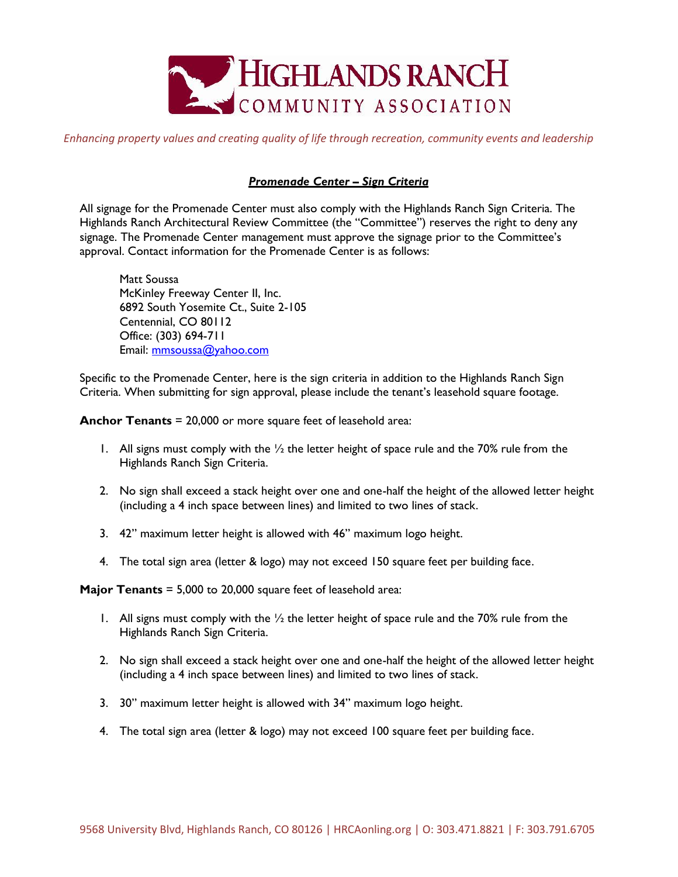

*Enhancing property values and creating quality of life through recreation, community events and leadership*

## *Promenade Center – Sign Criteria*

All signage for the Promenade Center must also comply with the Highlands Ranch Sign Criteria. The Highlands Ranch Architectural Review Committee (the "Committee") reserves the right to deny any signage. The Promenade Center management must approve the signage prior to the Committee's approval. Contact information for the Promenade Center is as follows:

Matt Soussa McKinley Freeway Center II, Inc. 6892 South Yosemite Ct., Suite 2-105 Centennial, CO 80112 Office: (303) 694-711 Email: mmsoussa@yahoo.com

Specific to the Promenade Center, here is the sign criteria in addition to the Highlands Ranch Sign Criteria. When submitting for sign approval, please include the tenant's leasehold square footage.

**Anchor Tenants** = 20,000 or more square feet of leasehold area:

- 1. All signs must comply with the  $\frac{1}{2}$  the letter height of space rule and the 70% rule from the Highlands Ranch Sign Criteria.
- 2. No sign shall exceed a stack height over one and one-half the height of the allowed letter height (including a 4 inch space between lines) and limited to two lines of stack.
- 3. 42" maximum letter height is allowed with 46" maximum logo height.
- 4. The total sign area (letter & logo) may not exceed 150 square feet per building face.

**Major Tenants** = 5,000 to 20,000 square feet of leasehold area:

- 1. All signs must comply with the  $\frac{1}{2}$  the letter height of space rule and the 70% rule from the Highlands Ranch Sign Criteria.
- 2. No sign shall exceed a stack height over one and one-half the height of the allowed letter height (including a 4 inch space between lines) and limited to two lines of stack.
- 3. 30" maximum letter height is allowed with 34" maximum logo height.
- 4. The total sign area (letter & logo) may not exceed 100 square feet per building face.